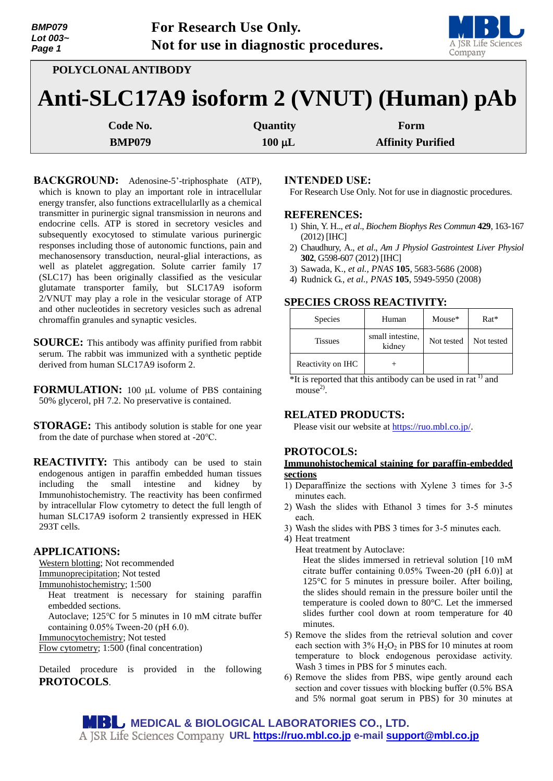| <b>BMP079</b><br>Lot 003~<br>Page 1       | For Research Use Only.<br>Not for use in diagnostic procedures. | <b>MBL</b><br>A JSR Life Sciences<br>Company |  |  |  |
|-------------------------------------------|-----------------------------------------------------------------|----------------------------------------------|--|--|--|
|                                           | POLYCLONAL ANTIBODY                                             |                                              |  |  |  |
| Anti-SLC17A9 isoform 2 (VNUT) (Human) pAb |                                                                 |                                              |  |  |  |

| <b>Code No.</b> | <b>Quantity</b> | Form                     |
|-----------------|-----------------|--------------------------|
| <b>BMP079</b>   | $100 \mu L$     | <b>Affinity Purified</b> |

**BACKGROUND:** Adenosine-5'-triphosphate (ATP), which is known to play an important role in intracellular energy transfer, also functions extracellularlly as a chemical transmitter in purinergic signal transmission in neurons and endocrine cells. ATP is stored in secretory vesicles and subsequently exocytosed to stimulate various purinergic responses including those of autonomic functions, pain and mechanosensory transduction, neural-glial interactions, as well as platelet aggregation. Solute carrier family 17 (SLC17) has been originally classified as the vesicular glutamate transporter family, but SLC17A9 isoform 2/VNUT may play a role in the vesicular storage of ATP and other nucleotides in secretory vesicles such as adrenal chromaffin granules and synaptic vesicles.

- **SOURCE:** This antibody was affinity purified from rabbit serum. The rabbit was immunized with a synthetic peptide derived from human SLC17A9 isoform 2.
- FORMULATION: 100 µL volume of PBS containing 50% glycerol, pH 7.2. No preservative is contained.
- **STORAGE:** This antibody solution is stable for one year from the date of purchase when stored at -20℃.

**REACTIVITY:** This antibody can be used to stain endogenous antigen in paraffin embedded human tissues including the small intestine and kidney by Immunohistochemistry. The reactivity has been confirmed by intracellular Flow cytometry to detect the full length of human SLC17A9 isoform 2 transiently expressed in HEK 293T cells.

# **APPLICATIONS:**

Western blotting; Not recommended Immunoprecipitation; Not tested

Immunohistochemistry; 1:500

Heat treatment is necessary for staining paraffin embedded sections.

Autoclave; 125℃ for 5 minutes in 10 mM citrate buffer containing 0.05% Tween-20 (pH 6.0).

Immunocytochemistry; Not tested

Flow cytometry; 1:500 (final concentration)

Detailed procedure is provided in the following **PROTOCOLS**.

#### **INTENDED USE:**

For Research Use Only. Not for use in diagnostic procedures.

### **REFERENCES:**

- 1) Shin, Y. H.., *et al*., *Biochem Biophys Res Commun* **429**, 163-167 (2012) [IHC]
- 2) Chaudhury, A., *et al*., *Am J Physiol Gastrointest Liver Physiol* **302**, G598-607 (2012) [IHC]
- 3) Sawada, K., *et al., PNAS* **105**, 5683-5686 (2008)
- 4) Rudnick G., *et al., PNAS* **105**, 5949-5950 (2008)

# **SPECIES CROSS REACTIVITY:**

| <b>Species</b>    | Human                      | Mouse*     | $Rat*$     |
|-------------------|----------------------------|------------|------------|
| <b>Tissues</b>    | small intestine,<br>kidney | Not tested | Not tested |
| Reactivity on IHC |                            |            |            |

 $*$ It is reported that this antibody can be used in rat<sup>1)</sup> and  $mouse<sup>2</sup>$ .

## **RELATED PRODUCTS:**

Please visit our website at [https://ruo.mbl.co.jp/.](https://ruo.mbl.co.jp/)

# **PROTOCOLS:**

### **Immunohistochemical staining for paraffin-embedded sections**

- 1) Deparaffinize the sections with Xylene 3 times for 3-5 minutes each.
- 2) Wash the slides with Ethanol 3 times for 3-5 minutes each.
- 3) Wash the slides with PBS 3 times for 3-5 minutes each.
- 4) Heat treatment
	- Heat treatment by Autoclave:

Heat the slides immersed in retrieval solution [10 mM citrate buffer containing 0.05% Tween-20 (pH 6.0)] at 125°C for 5 minutes in pressure boiler. After boiling, the slides should remain in the pressure boiler until the temperature is cooled down to 80°C. Let the immersed slides further cool down at room temperature for 40 minutes.

- 5) Remove the slides from the retrieval solution and cover each section with  $3\%$  H<sub>2</sub>O<sub>2</sub> in PBS for 10 minutes at room temperature to block endogenous peroxidase activity. Wash 3 times in PBS for 5 minutes each.
- 6) Remove the slides from PBS, wipe gently around each section and cover tissues with blocking buffer (0.5% BSA and 5% normal goat serum in PBS) for 30 minutes at